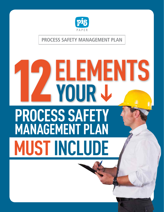

### **PROCESS SAFETY MANAGEMENT PLAN**

# **12YOUR ELEMENTS MUST INCLUDE PROCESS SAFETY MANAGEMENT PLAN**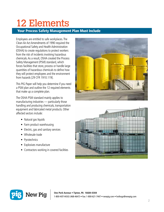# 12 Elements

#### Your Process Safety Management Plan Must Include

Employees are entitled to safe workplaces. The Clean Air Act Amendments of 1990 required the Occupational Safety and Health Administration (OSHA) to create regulations to protect workers from the risk of incidents involving hazardous chemicals. As a result, OSHA created the Process Safety Management (PSM) standard, which forces facilities that store, process or handle large quantities of hazardous chemicals to define how they will protect employees and the environment from hazards [29 CFR 1910.119].

This PIG Paper will help you determine if you need a PSM plan and outline the 12 required elements that make up a complete plan.

The OSHA PSM standard mainly applies to manufacturing industries — particularly those handling and producing chemicals, transportation equipment and fabricated metal products. Other affected sectors include:

- Natural gas liquids
- Farm product warehousing
- Electric, gas and sanitary services
- Wholesale trade
- **Pyrotechnics**
- Explosives manufacture
- Contractors working in covered facilities





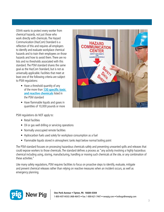OSHA wants to protect every worker from chemical hazards, not just those who work directly with chemicals. The Hazard Communication (HazCom) Standard is a reflection of this and requires all employers to identify and evaluate workplace chemical hazards and to train their employees on those hazards and how to avoid them. There are no lists and no thresholds associated with this standard. The PSM standard shares the same goal as the HazCom Standard, but is not as universally applicable. Facilities that meet at least one of the following criteria are subject to PSM regulations:

- Have a threshold quantity of any of the more than **[130 specific toxic](https://www.osha.gov/pls/oshaweb/owadisp.show_document?p_table=STANDARDS&p_id=9761)  [and reactive chemicals](https://www.osha.gov/pls/oshaweb/owadisp.show_document?p_table=STANDARDS&p_id=9761)** listed in the PSM standard
- Have flammable liquids and gases in quantities of 10,000 pounds or more

**HAZARD CATION AFETY DATA SHEETS** HAZARDOUS MATERIALS

PSM regulations do NOT apply to:

- Retail facilities
- Oil or gas well drilling or servicing operations
- Normally unoccupied remote facilities
- Hydrocarbon fuels used solely for workplace consumption as a fuel
- Flammable liquids stored in atmospheric tanks kept below normal boiling point

The PSM standard focuses on processing hazardous chemicals safely and preventing unwanted spills and releases that could expose workers to those chemicals. The standard defines a process as "any activity involving a highly hazardous chemical including using, storing, manufacturing, handling or moving such chemicals at the site, or any combination of these activities."

Like many safety regulations, PSM requires facilities to focus on proactive steps to identify, evaluate, mitigate and prevent chemical releases rather than relying on reactive measures when an incident occurs, as well as emergency planning.

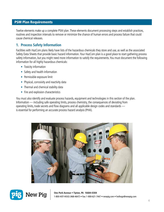#### PSM Plan Requirements

Twelve elements make up a complete PSM plan. These elements document processing steps and establish practices, routines and inspection intervals to remove or minimize the chance of human errors and process failure that could cause chemical releases.

#### **1. Process Safety Information**

Facilities with HazCom plans likely have lists of the hazardous chemicals they store and use, as well as the associated Safety Data Sheets that provide basic hazard information. Your HazCom plan is a good place to start gathering process safety information, but you might need more information to satisfy the requirements. You must document the following information for all highly hazardous chemicals:

- Toxicity information
- Safety and health information
- Permissible exposure limit
- Physical, corrosivity and reactivity data
- Thermal and chemical stability data
- Fire and explosion characteristics

You must also identify and evaluate process hazards, equipment and technologies in this section of the plan. Information — including safe operating limits, process chemistry, the consequences of deviating from operating limits, trade secrets and flow diagrams and all applicable design codes and standards is essential for performing an accurate process hazard analysis (PHA).





 $\displaystyle \mathbf{New~Pig} \mid \mathop{\mathrm{_{0ne\,Pork\,Avenue}}\bullet\mathop{\mathrm{Tipton,\,PA}}\limits_{\scriptstyle 4.56684\text{-}0304}} \mathop{\mathrm{_{0-621\cdot 7447}}\bullet\mathop{\mathrm{newpig.com}}\bullet\mathop{\mathrm{hothogs@newpig.com}}$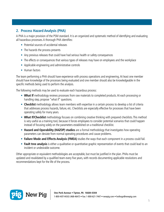#### **2. Process Hazard Analysis (PHA)**

A PHA is a major provision of the PSM standard. It is an organized and systematic method of identifying and evaluating all hazardous processes. A thorough PHA identifies:

- Potential sources of accidental releases
- The hazards the process presents
- Any previous releases that could have had serious health or safety consequences
- The effects or consequences that various types of releases may have on employees and the workplace
- Applicable engineering and administrative controls
- Human factors

The team performing a PHA should have experience with process operations and engineering. At least one member should have knowledge of the processes being evaluated and one member should also be knowledgeable in the specific methods being used to perform the analysis.

The following methods may be used to evaluate each hazardous process:

- What If methodology reviews processes from raw materials to completed products. At each processing or handling step, propose "what if" questions.
- **Checklist** methodology allows team members with expertise in a certain process to develop a list of criteria that addresses process hazards, failure, etc. Checklists are especially effective for processes that have been operating safely for many years.
- **What If/Checklist** methodology focuses on combining creative thinking with prepared checklists. This method is very useful as a training tool, because it forces employees to consider potential scenarios that could happen instead of focusing solely on the parameters established on a traditional checklist.
- **Hazard and Operability (HAZOP) studies** are a formal methodology that investigates how operating parameters can deviate from normal operating procedures and cause problems.
- **Failure Mode and Effects Analysis (FMEA)** studies the ways that each component in a process could fail.
- **Fault tree analysis** is either a qualitative or quantitative graphic representation of events that could lead to an incident or undesirable outcome.

Other appropriate or equivalent methodologies are acceptable, but must be justified in the plan. PHAs must be updated and revalidated by a qualified team every five years, with records documenting applicable resolutions and recommendations kept for the life of the process.

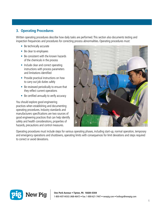#### **3. Operating Procedures**

Written operating procedures describe how daily tasks are performed. This section also documents testing and inspection frequencies and procedures for correcting process abnormalities. Operating procedures must:

- Be technically accurate
- Be clear to employees
- Be consistent with the known hazards of the chemicals in the process
- Include clear and correct operating instructions with process parameters and limitations identified
- Provide practical instructions on how to carry out job duties safely
- Be reviewed periodically to ensure that they reflect current operations
- Be certified annually to verify accuracy

You should explore good engineering practices when establishing and documenting operating procedures. Industry standards and manufacturers specifications are two sources of good engineering practices that can help identify safety and health considerations, properties of hazards, precautions and control measures.



Operating procedures must include steps for various operating phases, including start-up, normal operation, temporary and emergency operations and shutdowns, operating limits with consequences for limit deviations and steps required to correct or avoid deviations.

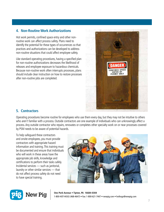#### **4. Non-Routine Work Authorizations**

Hot work permits, confined space entry and other nonroutine work can affect process safety. Plans need to identify the potential for these types of occurrences so that practices and authorizations can be developed to address non-routine situations that could affect employee safety.

Like standard operating procedures, having a specified plan for non-routine authorizations decreases the likelihood of releases and employee exposure to hazardous chemicals. Because non-routine work often interrupts processes, plans should include clear instruction on how to restore processes after non-routine jobs are completed.



#### **5. Contractors**

Operating procedures become routine for employees who use them every day, but they may not be intuitive to others who aren't familiar with a process. Outside contractors are one example of individuals who can unknowingly affect a process. Any outside contractor who repairs, renovates or completes other specialty work on or near processes covered by PSM needs to be aware of potential hazards.

To help safeguard these contractors and onsite employees, you must provide contractors with appropriate hazard information and training. This training must be documented and ensure that individuals who will work in these areas have the appropriate job skills, knowledge and certifications to perform their tasks safely. Incidental services — such as janitorial, laundry or other similar services — that do not affect process safety do not need to have special training.



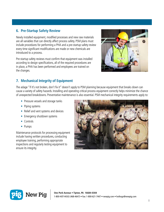#### **6. Pre-Startup Safety Review**

Newly installed equipment, modified processes and new raw materials are all variables that can directly affect process safety. PSM plans must include procedures for performing a PHA and a pre-startup safety review every time significant modifications are made or new chemicals are introduced to a process.

Pre-startup safety reviews must confirm that equipment was installed according to design specifications, all of the required procedures are in place, a PHA has been performed and employees are trained on the changes.



#### **7. Mechanical Integrity of Equipment**

The adage "if it's not broken, don't fix it" doesn't apply to PSM planning because equipment that breaks down can cause a variety of safety hazards. Installing and operating critical process equipment correctly helps minimize the chance of unexpected breakdowns. Preventative maintenance is also essential. PSM mechanical integrity requirements apply to:

- Pressure vessels and storage tanks
- Piping systems
- Relief and vent systems and devices
- Emergency shutdown systems
- Controls
- Pumps

Maintenance protocols for processing equipment include having written procedures, conducting employee training, performing appropriate inspections and regularly testing equipment to ensure its integrity.



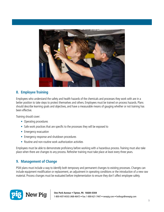

#### **8. Employee Training**

Employees who understand the safety and health hazards of the chemicals and processes they work with are in a better position to take steps to protect themselves and others. Employees must be trained on process hazards. Plans should describe learning goals and objectives, and have a measurable means of gauging whether or not training has been effective.

Training should cover:

- Operating procedures
- Safe work practices that are specific to the processes they will be exposed to
- Emergency evacuation
- Emergency response and shutdown procedures
- Routine and non-routine work authorization activities

Employees must be able to demonstrate proficiency before working with a hazardous process. Training must also take place when there are changes to any process. Refresher training must take place at least every three years.

#### **9. Management of Change**

PSM plans must include a way to identify both temporary and permanent changes to existing processes. Changes can include equipment modification or replacement, an adjustment in operating conditions or the introduction of a new raw material. Process changes must be evaluated before implementation to ensure they don't affect employee safety.

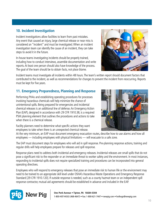#### **10. Incident Investigation**

Incident investigations allow facilities to learn from past mistakes. Any event that caused an injury, large chemical release or near miss is considered an "incident" and must be investigated. When an incident investigation team can identify the cause of an incident, they can take steps to avoid it in the future.

In-house teams investigating incidents should be properly trained, including how to conduct interviews, assemble documentation and write reports. At least one person should also have knowledge of the process. The goal of the team should be to obtain facts, not place blame.

Incident teams must investigate all incidents within 48 hours. The team's written report should document factors that contributed to the incident, as well as recommendations for changes to prevent the incident from reoccurring. Reports must be kept for five years.

#### **11. Emergency Preparedness, Planning and Response**

Performing PHAs and establishing operating procedures for processes involving hazardous chemicals will help minimize the chance of unintentional spills. Being prepared for emergencies and incidental chemical releases is an additional line of defense. An Emergency Action Plan (EAP), designed in accordance with 29 CFR 1910.38, is a required PSM planning element that outlines the procedures and actions to take when there is a chemical release.

Facility planners need to determine what specific actions they want employees to take when there is an unexpected chemical release.

At the very minimum, an EAP must document emergency evacuation routes, describe how to use alarms and how all employees — including employees with physical limitations — will evacuate to a safe zone.

The EAP must document steps for employees who will aid in spill response. Pre-planning response actions, training and regular drills will help employees prepare for releases and spill response.

Response plans need to address both incidental and emergency releases. Incidental releases are small spills that do not pose a significant risk to the responder or an immediate threat to worker safety and the environment. In most instances, responding to incidental spills does not require specialized training and procedures can be incorporated into general operating directives.

Employees who will respond to emergency releases that pose an immediate risk to human life or the environment may need to be trained to an appropriate skill level under OSHA's Hazardous Waste Operations and Emergency Response Standard [29 CFR 1910.120]. If outside response is needed, such as a county hazmat team or an independent spill response contractor, mutual aid agreements should be established in advance and included in the EAP.







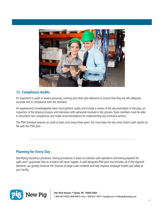

#### **12. Compliance Audits**

It's important to audit or review processes, training and other plan elements to ensure that they are still adequate, accurate and in compliance with the standard.

An experienced, knowledgeable team must perform audits and include a review of the documentation in the plan, an inspection of the physical process and interviews with personnel involved in the process. Team members must be able to document non-compliances and make recommendations for implementing any corrective actions.

The PSM standard requires an audit at least once every three years. You must keep the two most recent audit reports on file with the PSM plan.

#### **Planning for Every Day**

Identifying hazardous processes, having procedures in place to maintain safe operations and being prepared for spills won't guarantee that an incident will never happen. A well-designed PSM plan that includes all of the required elements can greatly minimize the chances of large-scale incidents and help improve employee health and safety at your facility.